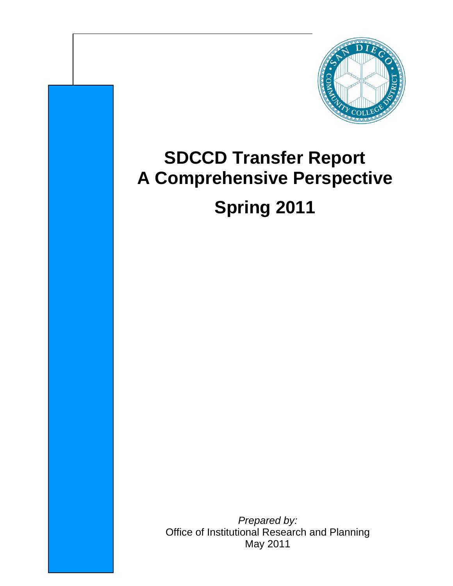

# **SDCCD Transfer Report A Comprehensive Perspective Spring 2011**

*Prepared by:* Office of Institutional Research and Planning May 2011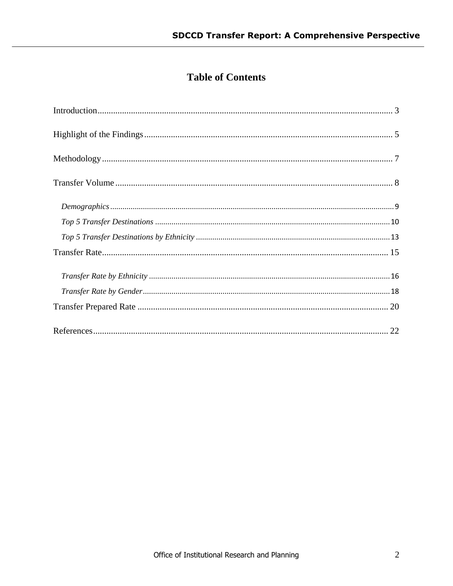# **Table of Contents**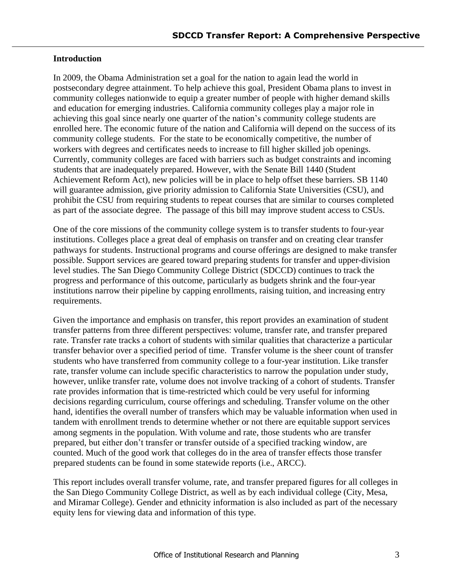# <span id="page-2-0"></span>**Introduction**

In 2009, the Obama Administration set a goal for the nation to again lead the world in postsecondary degree attainment. To help achieve this goal, President Obama plans to invest in community colleges nationwide to equip a greater number of people with higher demand skills and education for emerging industries. California community colleges play a major role in achieving this goal since nearly one quarter of the nation's community college students are enrolled here. The economic future of the nation and California will depend on the success of its community college students. For the state to be economically competitive, the number of workers with degrees and certificates needs to increase to fill higher skilled job openings. Currently, community colleges are faced with barriers such as budget constraints and incoming students that are inadequately prepared. However, with the Senate Bill 1440 (Student Achievement Reform Act), new policies will be in place to help offset these barriers. SB 1140 will guarantee admission, give priority admission to California State Universities (CSU), and prohibit the CSU from requiring students to repeat courses that are similar to courses completed as part of the associate degree. The passage of this bill may improve student access to CSUs.

One of the core missions of the community college system is to transfer students to four-year institutions. Colleges place a great deal of emphasis on transfer and on creating clear transfer pathways for students. Instructional programs and course offerings are designed to make transfer possible. Support services are geared toward preparing students for transfer and upper-division level studies. The San Diego Community College District (SDCCD) continues to track the progress and performance of this outcome, particularly as budgets shrink and the four-year institutions narrow their pipeline by capping enrollments, raising tuition, and increasing entry requirements.

Given the importance and emphasis on transfer, this report provides an examination of student transfer patterns from three different perspectives: volume, transfer rate, and transfer prepared rate. Transfer rate tracks a cohort of students with similar qualities that characterize a particular transfer behavior over a specified period of time. Transfer volume is the sheer count of transfer students who have transferred from community college to a four-year institution. Like transfer rate, transfer volume can include specific characteristics to narrow the population under study, however, unlike transfer rate, volume does not involve tracking of a cohort of students. Transfer rate provides information that is time-restricted which could be very useful for informing decisions regarding curriculum, course offerings and scheduling. Transfer volume on the other hand, identifies the overall number of transfers which may be valuable information when used in tandem with enrollment trends to determine whether or not there are equitable support services among segments in the population. With volume and rate, those students who are transfer prepared, but either don't transfer or transfer outside of a specified tracking window, are counted. Much of the good work that colleges do in the area of transfer effects those transfer prepared students can be found in some statewide reports (i.e., ARCC).

This report includes overall transfer volume, rate, and transfer prepared figures for all colleges in the San Diego Community College District, as well as by each individual college (City, Mesa, and Miramar College). Gender and ethnicity information is also included as part of the necessary equity lens for viewing data and information of this type.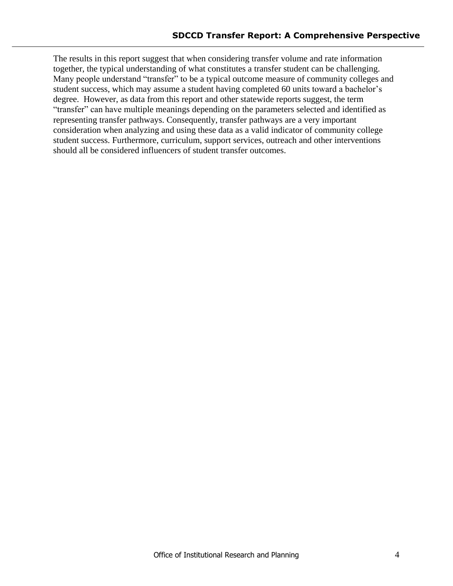The results in this report suggest that when considering transfer volume and rate information together, the typical understanding of what constitutes a transfer student can be challenging. Many people understand "transfer" to be a typical outcome measure of community colleges and student success, which may assume a student having completed 60 units toward a bachelor's degree. However, as data from this report and other statewide reports suggest, the term "transfer" can have multiple meanings depending on the parameters selected and identified as representing transfer pathways. Consequently, transfer pathways are a very important consideration when analyzing and using these data as a valid indicator of community college student success. Furthermore, curriculum, support services, outreach and other interventions should all be considered influencers of student transfer outcomes.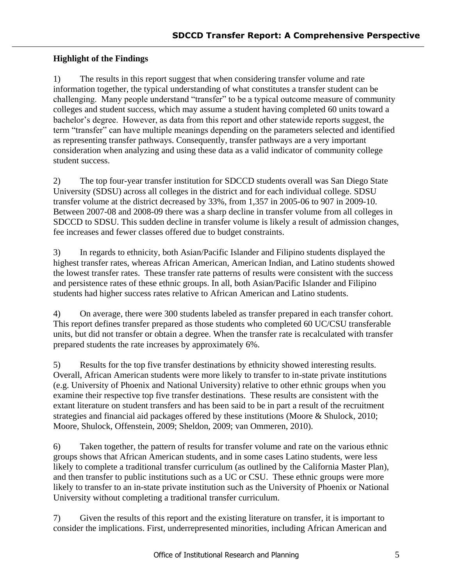# <span id="page-4-0"></span>**Highlight of the Findings**

1) The results in this report suggest that when considering transfer volume and rate information together, the typical understanding of what constitutes a transfer student can be challenging. Many people understand "transfer" to be a typical outcome measure of community colleges and student success, which may assume a student having completed 60 units toward a bachelor's degree. However, as data from this report and other statewide reports suggest, the term "transfer" can have multiple meanings depending on the parameters selected and identified as representing transfer pathways. Consequently, transfer pathways are a very important consideration when analyzing and using these data as a valid indicator of community college student success.

2) The top four-year transfer institution for SDCCD students overall was San Diego State University (SDSU) across all colleges in the district and for each individual college. SDSU transfer volume at the district decreased by 33%, from 1,357 in 2005-06 to 907 in 2009-10. Between 2007-08 and 2008-09 there was a sharp decline in transfer volume from all colleges in SDCCD to SDSU. This sudden decline in transfer volume is likely a result of admission changes, fee increases and fewer classes offered due to budget constraints.

3) In regards to ethnicity, both Asian/Pacific Islander and Filipino students displayed the highest transfer rates, whereas African American, American Indian, and Latino students showed the lowest transfer rates. These transfer rate patterns of results were consistent with the success and persistence rates of these ethnic groups. In all, both Asian/Pacific Islander and Filipino students had higher success rates relative to African American and Latino students.

4) On average, there were 300 students labeled as transfer prepared in each transfer cohort. This report defines transfer prepared as those students who completed 60 UC/CSU transferable units, but did not transfer or obtain a degree. When the transfer rate is recalculated with transfer prepared students the rate increases by approximately 6%.

5) Results for the top five transfer destinations by ethnicity showed interesting results. Overall, African American students were more likely to transfer to in-state private institutions (e.g. University of Phoenix and National University) relative to other ethnic groups when you examine their respective top five transfer destinations. These results are consistent with the extant literature on student transfers and has been said to be in part a result of the recruitment strategies and financial aid packages offered by these institutions (Moore & Shulock, 2010; Moore, Shulock, Offenstein, 2009; Sheldon, 2009; van Ommeren, 2010).

6) Taken together, the pattern of results for transfer volume and rate on the various ethnic groups shows that African American students, and in some cases Latino students, were less likely to complete a traditional transfer curriculum (as outlined by the California Master Plan), and then transfer to public institutions such as a UC or CSU. These ethnic groups were more likely to transfer to an in-state private institution such as the University of Phoenix or National University without completing a traditional transfer curriculum.

7) Given the results of this report and the existing literature on transfer, it is important to consider the implications. First, underrepresented minorities, including African American and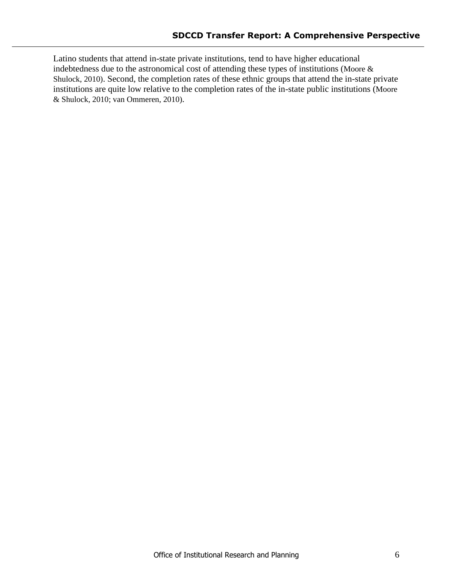Latino students that attend in-state private institutions, tend to have higher educational indebtedness due to the astronomical cost of attending these types of institutions (Moore & Shulock, 2010). Second, the completion rates of these ethnic groups that attend the in-state private institutions are quite low relative to the completion rates of the in-state public institutions (Moore & Shulock, 2010; van Ommeren, 2010).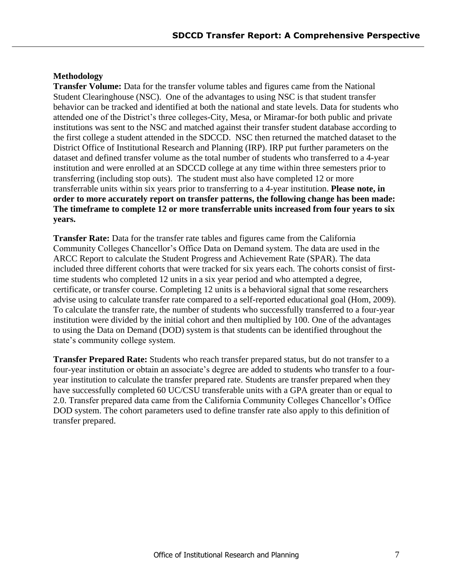# <span id="page-6-0"></span>**Methodology**

**Transfer Volume:** Data for the transfer volume tables and figures came from the National Student Clearinghouse (NSC). One of the advantages to using NSC is that student transfer behavior can be tracked and identified at both the national and state levels. Data for students who attended one of the District's three colleges-City, Mesa, or Miramar-for both public and private institutions was sent to the NSC and matched against their transfer student database according to the first college a student attended in the SDCCD. NSC then returned the matched dataset to the District Office of Institutional Research and Planning (IRP). IRP put further parameters on the dataset and defined transfer volume as the total number of students who transferred to a 4-year institution and were enrolled at an SDCCD college at any time within three semesters prior to transferring (including stop outs). The student must also have completed 12 or more transferrable units within six years prior to transferring to a 4-year institution. **Please note, in order to more accurately report on transfer patterns, the following change has been made: The timeframe to complete 12 or more transferrable units increased from four years to six years.**

**Transfer Rate:** Data for the transfer rate tables and figures came from the California Community Colleges Chancellor's Office Data on Demand system. The data are used in the ARCC Report to calculate the Student Progress and Achievement Rate (SPAR). The data included three different cohorts that were tracked for six years each. The cohorts consist of firsttime students who completed 12 units in a six year period and who attempted a degree, certificate, or transfer course. Completing 12 units is a behavioral signal that some researchers advise using to calculate transfer rate compared to a self-reported educational goal (Hom, 2009). To calculate the transfer rate, the number of students who successfully transferred to a four-year institution were divided by the initial cohort and then multiplied by 100. One of the advantages to using the Data on Demand (DOD) system is that students can be identified throughout the state's community college system.

**Transfer Prepared Rate:** Students who reach transfer prepared status, but do not transfer to a four-year institution or obtain an associate's degree are added to students who transfer to a fouryear institution to calculate the transfer prepared rate. Students are transfer prepared when they have successfully completed 60 UC/CSU transferable units with a GPA greater than or equal to 2.0. Transfer prepared data came from the California Community Colleges Chancellor's Office DOD system. The cohort parameters used to define transfer rate also apply to this definition of transfer prepared.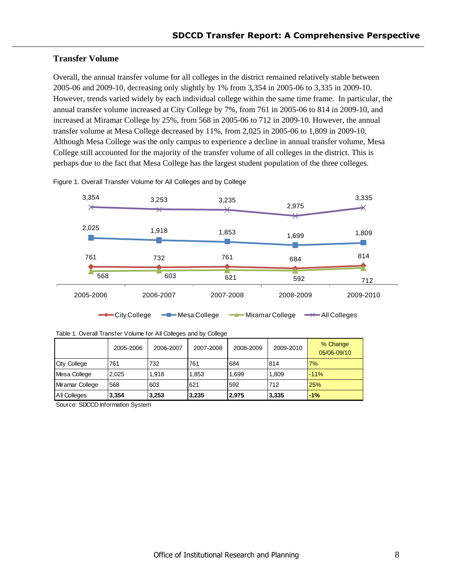# <span id="page-7-0"></span>**Transfer Volume**

Overall, the annual transfer volume for all colleges in the district remained relatively stable between 2005-06 and 2009-10, decreasing only slightly by 1% from 3,354 in 2005-06 to 3,335 in 2009-10. However, trends varied widely by each individual college within the same time frame. In particular, the annual transfer volume increased at City College by 7%, from 761 in 2005-06 to 814 in 2009-10, and increased at Miramar College by 25%, from 568 in 2005-06 to 712 in 2009-10. However, the annual transfer volume at Mesa College decreased by 11%, from 2,025 in 2005-06 to 1,809 in 2009-10. Although Mesa College was the only campus to experience a decline in annual transfer volume, Mesa College still accounted for the majority of the transfer volume of all colleges in the district. This is perhaps due to the fact that Mesa College has the largest student population of the three colleges.



Figure 1. Overall Transfer Volume for All Colleges and by College

| Table 1. Overall Transfer Volume for All Colleges and by College |  |  |
|------------------------------------------------------------------|--|--|
|                                                                  |  |  |

|                 | 2005-2006 | 2006-2007 | 2007-2008 | 2008-2009 | 2009-2010 | % Change<br>05/06-09/10 |
|-----------------|-----------|-----------|-----------|-----------|-----------|-------------------------|
| City College    | 761       | 732       | 761       | 684       | 814       | 7%                      |
| Mesa College    | 2.025     | 1.918     | 1,853     | 1,699     | 1,809     | $-11%$                  |
| Miramar College | 568       | 603       | 621       | 592       | 712       | 25%                     |
| All Colleges    | 3,354     | 3,253     | 3,235     | 2,975     | 3,335     | $-1%$                   |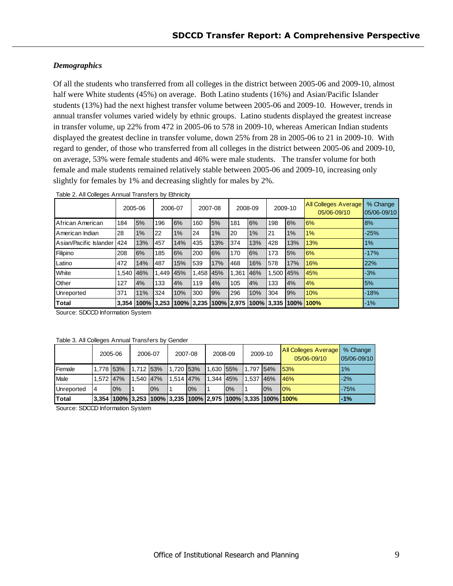# <span id="page-8-0"></span>*Demographics*

Of all the students who transferred from all colleges in the district between 2005-06 and 2009-10, almost half were White students (45%) on average. Both Latino students (16%) and Asian/Pacific Islander students (13%) had the next highest transfer volume between 2005-06 and 2009-10. However, trends in annual transfer volumes varied widely by ethnic groups. Latino students displayed the greatest increase in transfer volume, up 22% from 472 in 2005-06 to 578 in 2009-10, whereas American Indian students displayed the greatest decline in transfer volume, down 25% from 28 in 2005-06 to 21 in 2009-10. With regard to gender, of those who transferred from all colleges in the district between 2005-06 and 2009-10, on average, 53% were female students and 46% were male students. The transfer volume for both female and male students remained relatively stable between 2005-06 and 2009-10, increasing only slightly for females by 1% and decreasing slightly for males by 2%.

|                        |           | 2005-06          | 2006-07 |     | 2007-08                     |          |       | 2008-09 | <b>All Colleges Average</b><br>2009-10<br>05/06-09/10 |      | % Change<br>$ 05/06 - 09/10 $ |           |
|------------------------|-----------|------------------|---------|-----|-----------------------------|----------|-------|---------|-------------------------------------------------------|------|-------------------------------|-----------|
| African American       | 184       | 5%               | 196     | 6%  | 160                         | 5%       | 181   | 6%      | 198                                                   | 6%   | 6%                            | <b>8%</b> |
| American Indian        | 28        | 1%               | 22      | 1%  | 24                          | 1%       | I20   | $1\%$   | 21                                                    | 1%   | 1%                            | $-25%$    |
| Asian/Pacific Islander | 424       | 13%              | 457     | 14% | 435                         | 13%      | 374   | 13%     | 428                                                   | 13%  | 13%                           | 1%        |
| Filipino               | 208       | 6%               | 185     | 6%  | 200                         | 6%       | 170   | 6%      | 173                                                   | 5%   | 6%                            | $-17%$    |
| Latino                 | 472       | 14%              | 487     | 15% | 539                         | 17%      | 468   | 16%     | 578                                                   | 17%  | 16%                           | 22%       |
| White                  | 1.540 46% |                  | 1.449   | 45% |                             | .458 45% | 1.361 | 46%     | 1.500                                                 | 45%  | 45%                           | $-3%$     |
| Other                  | 127       | 4%               | 133     | 4%  | 119                         | 4%       | 105   | 4%      | 133                                                   | 4%   | 4%                            | 5%        |
| Unreported             | 371       | 11%              | 324     | 10% | 300                         | 9%       | 296   | 10%     | 304                                                   | 9%   | 10%                           | $-18%$    |
| Total                  |           | 3.354 100% 3.253 |         |     | 100%   3,235   100%   2,975 |          |       |         | 100% 3.335                                            | 100% | 1100%                         | $-1\%$    |

| Table 2. All Colleges Annual Transfers by Ethnicity |  |  |
|-----------------------------------------------------|--|--|
|-----------------------------------------------------|--|--|

Source: SDCCD Information System

| Table 3. All Colleges Annual Transfers by Gender |  |
|--------------------------------------------------|--|
|--------------------------------------------------|--|

|                 |           | 2005-06 | 2006-07   |    |             | 2007-08                                                                            | 2008-09   |    |           | 2009-10 | <b>All Colleges Average</b><br>05/06-09/10 | % Change<br>05/06-09/10 |
|-----------------|-----------|---------|-----------|----|-------------|------------------------------------------------------------------------------------|-----------|----|-----------|---------|--------------------------------------------|-------------------------|
| <b>I</b> Female | 1.778 53% |         | 1.712 53% |    | $1,720$ 53% |                                                                                    | 1,630 55% |    | 1.797 54% |         | <b>53%</b>                                 | 1%                      |
| Male            | 1.572 47% |         | 1.540 47% |    | 1.514 47%   |                                                                                    | 1.344 45% |    | 1.537     | 46%     | 146%                                       | $-2%$                   |
| Unreported      | 4         | 0%      |           | 0% |             | 0%                                                                                 |           | 0% |           | 0%      | 10%                                        | $-75%$                  |
| <b>Total</b>    |           |         |           |    |             | 3,354  100%  3,253  100%  3,235  100%  2,975  100%  3,335  100% <mark> 100%</mark> |           |    |           |         |                                            | $-1%$                   |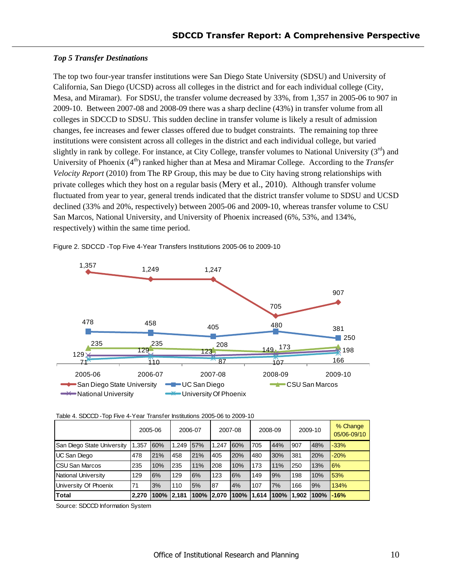#### <span id="page-9-0"></span>**Top 5 Transfer Destinations**

The top two four-year transfer institutions were San Diego State University (SDSU) and University of California, San Diego (UCSD) across all colleges in the district and for each individual college (City, Mesa, and Miramar). For SDSU, the transfer volume decreased by 33%, from 1,357 in 2005-06 to 907 in 2009-10. Between 2007-08 and 2008-09 there was a sharp decline (43%) in transfer volume from all colleges in SDCCD to SDSU. This sudden decline in transfer volume is likely a result of admission changes, fee increases and fewer classes offered due to budget constraints. The remaining top three institutions were consistent across all colleges in the district and each individual college, but varied slightly in rank by college. For instance, at City College, transfer volumes to National University  $(3<sup>rd</sup>)$  and University of Phoenix (4<sup>th</sup>) ranked higher than at Mesa and Miramar College. According to the *Transfer Velocity Report* (2010) from The RP Group, this may be due to City having strong relationships with private colleges which they host on a regular basis (Mery et al., 2010). Although transfer volume fluctuated from year to year, general trends indicated that the district transfer volume to SDSU and UCSD declined (33% and 20%, respectively) between 2005-06 and 2009-10, whereas transfer volume to CSU San Marcos, National University, and University of Phoenix increased (6%, 53%, and 134%, respectively) within the same time period.



Figure 2. SDCCD -Top Five 4-Year Transfers Institutions 2005-06 to 2009-10

|  | Table 4. SDCCD-Top Five 4-Year Transfer Institutions 2005-06 to 2009-10 |
|--|-------------------------------------------------------------------------|

|                            | 2005-06 |      | 2006-07 |            | 2007-08 |      | 2008-09 |                    | 2009-10 |           | % Change<br>05/06-09/10 |
|----------------------------|---------|------|---------|------------|---------|------|---------|--------------------|---------|-----------|-------------------------|
| San Diego State University | 1.357   | 60%  | 1.249   | 57%        | 1.247   | 60%  | 705     | 44%                | 907     | 48%       | $-33%$                  |
| UC San Diego               | 478     | 21%  | 458     | 21%        | 405     | 20%  | 480     | 30%                | 381     | 20%       | $-20%$                  |
| <b>CSU San Marcos</b>      | 235     | 10%  | 235     | 11%        | 208     | 10%  | 173     | 11%                | 250     | 13%       | <b>6%</b>               |
| National University        | 129     | 6%   | 129     | 6%         | 123     | 6%   | 149     | 9%                 | 198     | 10%       | 53%                     |
| University Of Phoenix      | 71      | 3%   | 110     | 5%         | 87      | 4%   | 107     | 7%                 | 166     | 9%        | 134%                    |
| <b>Total</b>               | 2.270   | 100% | 2.181   | 100% 2.070 |         | 100% |         | 1,614  100%  1,902 |         | 100% -16% |                         |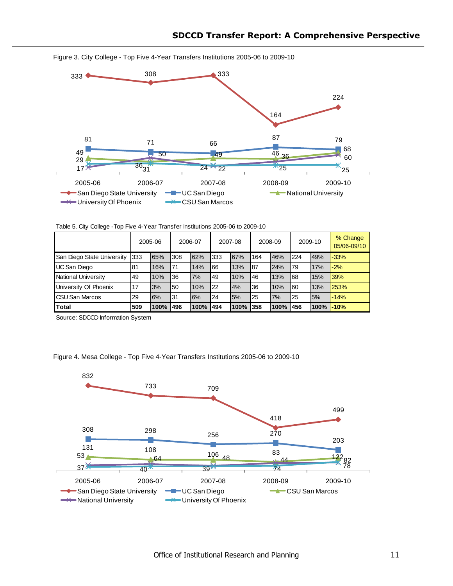

Figure 3. City College - Top Five 4-Year Transfers Institutions 2005-06 to 2009-10

Table 5. City College -Top Five 4-Year Transfer Institutions 2005-06 to 2009-10

|                            | 2005-06 |      | 2006-07 |      | 2007-08 |      | 2008-09 |      | 2009-10 |      | % Change<br>05/06-09/10 |
|----------------------------|---------|------|---------|------|---------|------|---------|------|---------|------|-------------------------|
| San Diego State University | 333     | 65%  | 308     | 62%  | 333     | 67%  | 164     | 46%  | 224     | 49%  | $-33%$                  |
| <b>UC San Diego</b>        | 81      | 16%  | 71      | 14%  | 66      | 13%  | 87      | 24%  | 79      | 17%  | $-2%$                   |
| National University        | 49      | 10%  | 36      | 7%   | 49      | 10%  | 46      | 13%  | 68      | 15%  | <b>39%</b>              |
| University Of Phoenix      | 17      | 3%   | 50      | 10%  | 22      | 4%   | 36      | 10%  | 60      | 13%  | 253%                    |
| <b>CSU San Marcos</b>      | 29      | 6%   | 31      | 6%   | 24      | 5%   | 25      | 7%   | 25      | 5%   | $-14%$                  |
| Total                      | 509     | 100% | 496     | 100% | 494     | 100% | 358     | 100% | 456     | 100% | -10%                    |

Source: SDCCD Information System

Figure 4. Mesa College - Top Five 4-Year Transfers Institutions 2005-06 to 2009-10

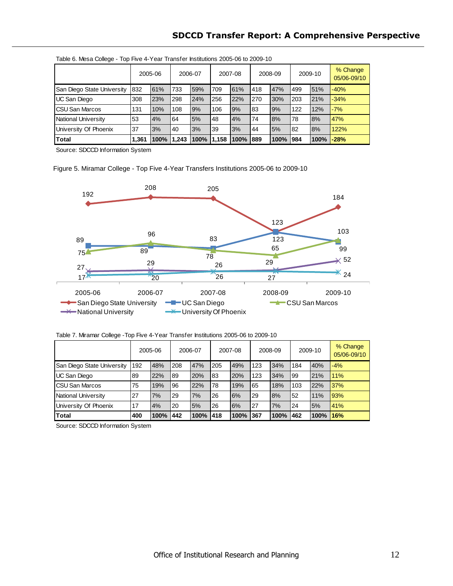# **SDCCD Transfer Report: A Comprehensive Perspective**

|                            | 2005-06 |      | 2006-07 |      | 2007-08 |      | 2008-09 |          | 2009-10 |      | % Change<br>05/06-09/10 |
|----------------------------|---------|------|---------|------|---------|------|---------|----------|---------|------|-------------------------|
| San Diego State University | 832     | 61%  | 733     | 59%  | 709     | 61%  | 418     | 47%      | 499     | 51%  | $-40%$                  |
| UC San Diego               | 308     | 23%  | 298     | 24%  | 256     | 22%  | 270     | 30%      | 203     | 21%  | $-34%$                  |
| <b>CSU San Marcos</b>      | 131     | 10%  | 108     | 9%   | 106     | 9%   | 83      | 9%       | 122     | 12%  | $-7%$                   |
| National University        | 53      | 4%   | 64      | 5%   | 48      | 4%   | 74      | 8%       | 178     | 8%   | 47%                     |
| University Of Phoenix      | 37      | 3%   | 40      | 3%   | 39      | 3%   | 44      | 5%       | 182     | 8%   | 122%                    |
| Total                      | 1,361   | 100% | 1,243   | 100% | 11,158  | 100% | 889     | 100% 984 |         | 100% | $-28%$                  |

**Spring 2009** Table 6. Mesa College - Top Five 4-Year Transfer Institutions 2005-06 to 2009-10

Source: SDCCD Information System

Figure 5. Miramar College - Top Five 4-Year Transfers Institutions 2005-06 to 2009-10



Table 7. Miramar College -Top Five 4-Year Transfer Institutions 2005-06 to 2009-10

|                            | 2005-06 |      | 2006-07 |      | 2007-08 |      | 2008-09 |      | 2009-10 |          | % Change<br>05/06-09/10 |
|----------------------------|---------|------|---------|------|---------|------|---------|------|---------|----------|-------------------------|
| San Diego State University | 192     | 48%  | 208     | 47%  | 205     | 49%  | 123     | 34%  | 184     | 40%      | $-4%$                   |
| UC San Diego               | 89      | 22%  | 89      | 20%  | 83      | 20%  | 123     | 34%  | 199     | 21%      | 11%                     |
| <b>CSU San Marcos</b>      | 75      | 19%  | 96      | 22%  | 78      | 19%  | 65      | 18%  | 103     | 22%      | 37%                     |
| National University        | 27      | 7%   | 29      | 7%   | 26      | 6%   | 29      | 8%   | 52      | 11%      | 93%                     |
| University Of Phoenix      | 17      | 4%   | 20      | 5%   | 26      | 6%   | 27      | 7%   | 124     | 5%       | 41%                     |
| Total                      | 400     | 100% | 442     | 100% | 1418    | 100% | 367     | 100% | 462     | 100% 16% |                         |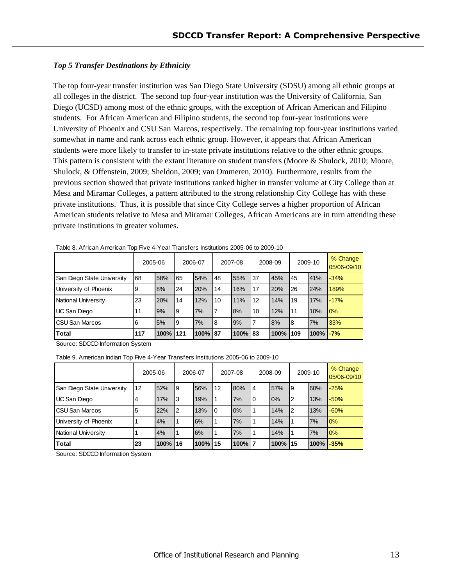#### <span id="page-12-0"></span>*Top 5 Transfer Destinations by Ethnicity*

The top four-year transfer institution was San Diego State University (SDSU) among all ethnic groups at all colleges in the district. The second top four-year institution was the University of California, San Diego (UCSD) among most of the ethnic groups, with the exception of African American and Filipino students. For African American and Filipino students, the second top four-year institutions were University of Phoenix and CSU San Marcos, respectively. The remaining top four-year institutions varied somewhat in name and rank across each ethnic group. However, it appears that African American students were more likely to transfer to in-state private institutions relative to the other ethnic groups. This pattern is consistent with the extant literature on student transfers (Moore & Shulock, 2010; Moore, Shulock, & Offenstein, 2009; Sheldon, 2009; van Ommeren, 2010). Furthermore, results from the previous section showed that private institutions ranked higher in transfer volume at City College than at Mesa and Miramar Colleges, a pattern attributed to the strong relationship City College has with these private institutions. Thus, it is possible that since City College serves a higher proportion of African American students relative to Mesa and Miramar Colleges, African Americans are in turn attending these private institutions in greater volumes.

|                            | 2005-06 |      | 2006-07 |         | 2007-08 |         | 2008-09 |      | 2009-10 |                | % Change<br>05/06-09/10 |
|----------------------------|---------|------|---------|---------|---------|---------|---------|------|---------|----------------|-------------------------|
| San Diego State University | 68      | 58%  | 65      | 54%     | 48      | 55%     | 37      | 45%  | 45      | 41%            | $-34%$                  |
| University of Phoenix      | 9       | 8%   | 24      | 20%     | 14      | 16%     | 17      | 20%  | 26      | 24%            | 189%                    |
| National University        | 23      | 20%  | 14      | 12%     | 10      | 11%     | 12      | 14%  | 19      | 17%            | $-17%$                  |
| UC San Diego               | 11      | 9%   | Ι9      | 7%      | 7       | 8%      | 10      | 12%  | 11      | 10%            | 0%                      |
| <b>ICSU San Marcos</b>     | 6       | 5%   | Ι9      | 7%      | 18      | 9%      | 7       | 8%   | 18      | 7%             | 33%                     |
| Total                      | 117     | 100% | 1121    | 100% 87 |         | 100% 83 |         | 100% | 109     | $100\%$ $-7\%$ |                         |

Table 8. African American Top Five 4-Year Transfers Institutions 2005-06 to 2009-10

Source: SDCCD Information System

Table 9. American Indian Top Five 4-Year Transfers Institutions 2005-06 to 2009-10

|                            | 2005-06 |          |    | 2006-07 |      | 2007-08 |    | 2008-09 |    | 2009-10         | % Change<br>05/06-09/10 |
|----------------------------|---------|----------|----|---------|------|---------|----|---------|----|-----------------|-------------------------|
| San Diego State University | 12      | 52%      | 19 | 56%     | l 12 | 80%     | 14 | 57%     | 19 | 60%             | $-25%$                  |
| UC San Diego               | 4       | 17%      | l3 | 19%     |      | 7%      | l0 | 0%      | l2 | 13%             | $-50%$                  |
| <b>ICSU San Marcos</b>     | 5       | 22%      | l2 | 13%     | 10   | 0%      |    | 14%     | l2 | 13%             | $-60%$                  |
| University of Phoenix      |         | 4%       |    | 6%      |      | 7%      |    | 14%     |    | 7%              | 10%                     |
| National University        |         | 4%       |    | 6%      |      | 7%      |    | 14%     |    | 7%              | 10%                     |
| <b>Total</b>               | 23      | 100% 116 |    | 100%    | 115  | 100% 7  |    | 100% 15 |    | $100\%$ $-35\%$ |                         |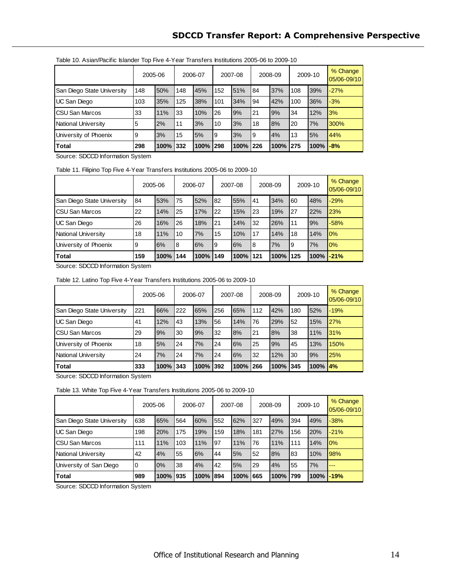|                            | 2005-06 |          |     | 2006-07 |     | 2007-08  |     | 2008-09 |      | 2009-10 | % Change<br>05/06-09/10 |
|----------------------------|---------|----------|-----|---------|-----|----------|-----|---------|------|---------|-------------------------|
| San Diego State University | 148     | 50%      | 148 | 45%     | 152 | 51%      | 184 | 37%     | 108  | 39%     | $-27%$                  |
| <b>UC San Diego</b>        | 103     | 35%      | 125 | 38%     | 101 | 34%      | 94  | 42%     | 100  | 36%     | $-3%$                   |
| <b>ICSU San Marcos</b>     | 33      | 11%      | 33  | 10%     | 26  | 9%       | 21  | 9%      | 34   | 12%     | 3%                      |
| National University        | 5       | 2%       | 11  | 3%      | 10  | 3%       | 18  | 8%      | 20   | 7%      | 300%                    |
| University of Phoenix      | 9       | 3%       | 15  | 5%      | ۱9  | 3%       | 19  | 4%      | 13   | 5%      | 44%                     |
| Total                      | 298     | 100% 332 |     | 100%    | 298 | 100% 226 |     | 100%    | 1275 | 100%    | $-8%$                   |

Table 10. Asian/Pacific Islander Top Five 4-Year Transfers Institutions 2005-06 to 2009-10

Source: SDCCD Information System

Table 11. Filipino Top Five 4-Year Transfers Institutions 2005-06 to 2009-10

|                            | 2005-06 |      |     | 2006-07 |     | 2007-08 |     | 2008-09 |      | 2009-10          | % Change<br>05/06-09/10 |
|----------------------------|---------|------|-----|---------|-----|---------|-----|---------|------|------------------|-------------------------|
| San Diego State University | 84      | 53%  | 75  | 52%     | 82  | 55%     | 41  | 34%     | 60   | 48%              | $-29%$                  |
| <b>ICSU San Marcos</b>     | 22      | 14%  | 25  | 17%     | 22  | 15%     | 23  | 19%     | 27   | 22%              | 23%                     |
| UC San Diego               | 26      | 16%  | 26  | 18%     | 21  | 14%     | 32  | 26%     | 11   | 9%               | $-58%$                  |
| National University        | 18      | 11%  | 10  | 7%      | 15  | 10%     | 17  | 14%     | 18   | 14%              | 10%                     |
| University of Phoenix      | 9       | 6%   | 18  | 6%      | و ا | 6%      | 18  | 7%      | Ι9   | 7%               | 10%                     |
| <b>Total</b>               | 159     | 100% | 144 | 100%    | 149 | 100%    | 121 | 100%    | 1125 | <b>100% -21%</b> |                         |

Source: SDCCD Information System

Table 12. Latino Top Five 4-Year Transfers Institutions 2005-06 to 2009-10

|                            | 2005-06 |      |     | 2006-07 |     | 2007-08  |     | 2008-09 |      | 2009-10       | % Change<br>05/06-09/10 |
|----------------------------|---------|------|-----|---------|-----|----------|-----|---------|------|---------------|-------------------------|
| San Diego State University | 221     | 66%  | 222 | 65%     | 256 | 65%      | 112 | 42%     | 180  | 52%           | $-19%$                  |
| UC San Diego               | 41      | 12%  | 43  | 13%     | 56  | 14%      | 76  | 29%     | 52   | 15%           | 27%                     |
| ICSU San Marcos            | 29      | 9%   | 30  | 9%      | 32  | 8%       | I21 | 8%      | 38   | 11%           | 31%                     |
| University of Phoenix      | 18      | 5%   | 24  | 7%      | 24  | 6%       | 25  | 9%      | 45   | 13%           | 150%                    |
| National University        | 24      | 7%   | 24  | 7%      | 24  | 6%       | 32  | 12%     | 30   | 9%            | 25%                     |
| Total                      | 333     | 100% | 343 | 100%    | 392 | 100% 266 |     | 100%    | 1345 | $100\%$ $4\%$ |                         |

Source: SDCCD Information System

Table 13. White Top Five 4-Year Transfers Institutions 2005-06 to 2009-10

|                            | 2005-06     |      |     | 2006-07 |     | 2007-08  |     | 2008-09 |      | 2009-10          | % Change<br>05/06-09/10 |
|----------------------------|-------------|------|-----|---------|-----|----------|-----|---------|------|------------------|-------------------------|
| San Diego State University | 638         | 65%  | 564 | 60%     | 552 | 62%      | 327 | 49%     | 394  | 49%              | $-38%$                  |
| UC San Diego               | 198         | 20%  | 175 | 19%     | 159 | 18%      | 181 | 27%     | 156  | 20%              | $-21%$                  |
| <b>CSU San Marcos</b>      | 111         | 11%  | 103 | 11%     | 97  | 11%      | 76  | 11%     | 111  | 14%              | 0%                      |
| <b>National University</b> | 42          | 4%   | 55  | 6%      | 44  | 5%       | 52  | 8%      | 83   | 10%              | 98%                     |
| University of San Diego    | $\mathbf 0$ | 0%   | 38  | 4%      | 42  | 5%       | 29  | 4%      | 55   | 7%               |                         |
| Total                      | 989         | 100% | 935 | 100%    | 894 | 100% 665 |     | 100%    | 1799 | <b>100% -19%</b> |                         |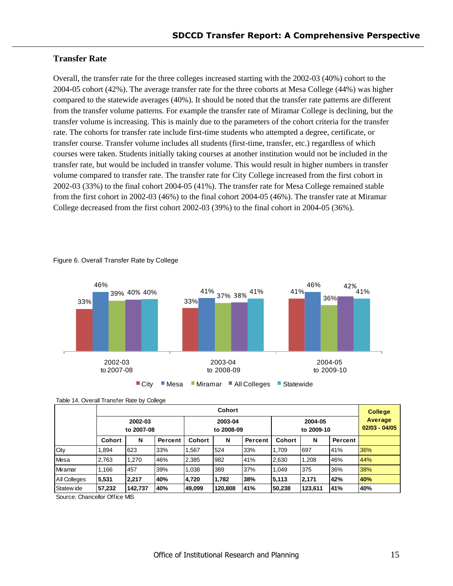### <span id="page-14-0"></span>**Transfer Rate**

Overall, the transfer rate for the three colleges increased starting with the 2002-03 (40%) cohort to the 2004-05 cohort (42%). The average transfer rate for the three cohorts at Mesa College (44%) was higher compared to the statewide averages (40%). It should be noted that the transfer rate patterns are different from the transfer volume patterns. For example the transfer rate of Miramar College is declining, but the transfer volume is increasing. This is mainly due to the parameters of the cohort criteria for the transfer rate. The cohorts for transfer rate include first-time students who attempted a degree, certificate, or transfer course. Transfer volume includes all students (first-time, transfer, etc.) regardless of which courses were taken. Students initially taking courses at another institution would not be included in the transfer rate, but would be included in transfer volume. This would result in higher numbers in transfer volume compared to transfer rate. The transfer rate for City College increased from the first cohort in 2002-03 (33%) to the final cohort 2004-05 (41%). The transfer rate for Mesa College remained stable from the first cohort in 2002-03 (46%) to the final cohort 2004-05 (46%). The transfer rate at Miramar College decreased from the first cohort 2002-03 (39%) to the final cohort in 2004-05 (36%).



#### Figure 6. Overall Transfer Rate by College



| $1000 - 111$ . Or ordinal reduction reduce by collodo |               |                       |         |                       |         |         |               |                            |         |     |
|-------------------------------------------------------|---------------|-----------------------|---------|-----------------------|---------|---------|---------------|----------------------------|---------|-----|
|                                                       | <b>Cohort</b> |                       |         |                       |         |         |               |                            |         |     |
|                                                       |               | 2002-03<br>to 2007-08 |         | 2003-04<br>to 2008-09 |         |         |               | Average<br>$02/03 - 04/05$ |         |     |
|                                                       | <b>Cohort</b> | N                     | Percent | Cohort                | N       | Percent | <b>Cohort</b> | N                          | Percent |     |
| City                                                  | 1,894         | 623                   | 33%     | 1,567                 | 524     | 33%     | 1,709         | 697                        | 41%     | 36% |
| Mesa                                                  | 2,763         | 1,270                 | 46%     | 2,385                 | 982     | 41%     | 2,630         | 1,208                      | 46%     | 44% |
| Miramar                                               | 1,166         | 457                   | 39%     | 1,038                 | 389     | 37%     | 1,049         | 375                        | 36%     | 38% |
| All Colleges                                          | 5,531         | 2,217                 | 40%     | 4,720                 | 1,782   | 38%     | 5,113         | 2,171                      | 42%     | 40% |
| Statew ide                                            | 57,232        | 142,737               | 40%     | 49,099                | 120,808 | 41%     | 50,238        | 123,611                    | 41%     | 40% |
| Source: Chancellor Office MIS                         |               |                       |         |                       |         |         |               |                            |         |     |

Table 14. Overall Transfer Rate by College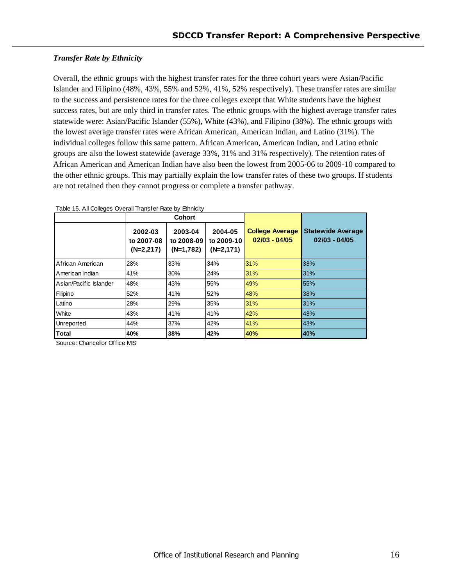#### <span id="page-15-0"></span>**Transfer Rate by Ethnicity**

Overall, the ethnic groups with the highest transfer rates for the three cohort years were Asian/Pacific Islander and Filipino (48%, 43%, 55% and 52%, 41%, 52% respectively). These transfer rates are similar to the success and persistence rates for the three colleges except that White students have the highest success rates, but are only third in transfer rates. The ethnic groups with the highest average transfer rates statewide were: Asian/Pacific Islander (55%), White (43%), and Filipino (38%). The ethnic groups with the lowest average transfer rates were African American, American Indian, and Latino (31%). The individual colleges follow this same pattern. African American, American Indian, and Latino ethnic groups are also the lowest statewide (average 33%, 31% and 31% respectively). The retention rates of African American and American Indian have also been the lowest from 2005-06 to 2009-10 compared to the other ethnic groups. This may partially explain the low transfer rates of these two groups. If students are not retained then they cannot progress or complete a transfer pathway.

|                        |                                      | Cohort                               |                                      |                                           |                                             |
|------------------------|--------------------------------------|--------------------------------------|--------------------------------------|-------------------------------------------|---------------------------------------------|
|                        | 2002-03<br>to 2007-08<br>$(N=2,217)$ | 2003-04<br>to 2008-09<br>$(N=1,782)$ | 2004-05<br>to 2009-10<br>$(N=2,171)$ | <b>College Average</b><br>$02/03 - 04/05$ | <b>Statewide Average</b><br>$02/03 - 04/05$ |
| African American       | 28%                                  | 33%                                  | 34%                                  | 31%                                       | 33%                                         |
| American Indian        | 41%                                  | 30%                                  | 24%                                  | 31%                                       | 31%                                         |
| Asian/Pacific Islander | 48%                                  | 43%                                  | 55%                                  | 49%                                       | 55%                                         |
| Filipino               | 52%                                  | 41%                                  | 52%                                  | 48%                                       | 38%                                         |
| Latino                 | 28%                                  | 29%                                  | 35%                                  | 31%                                       | 31%                                         |
| White                  | 43%                                  | 41%                                  | 41%                                  | 42%                                       | 43%                                         |
| Unreported             | 44%                                  | 37%                                  | 42%                                  | 41%                                       | 43%                                         |
| Total                  | 40%                                  | 38%                                  | 42%                                  | 40%                                       | 40%                                         |

Table 15. All Colleges Overall Transfer Rate by Ethnicity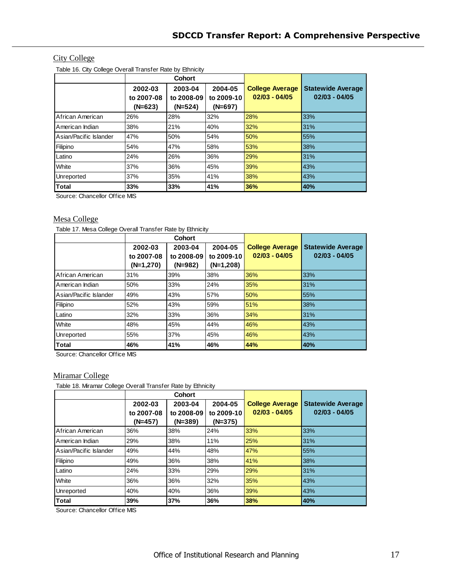# **City College**

Table 16. City College Overall Transfer Rate by Ethnicity

|                        |                       | <b>Cohort</b>         |                       |                                           |                                             |
|------------------------|-----------------------|-----------------------|-----------------------|-------------------------------------------|---------------------------------------------|
|                        | 2002-03<br>to 2007-08 | 2003-04<br>to 2008-09 | 2004-05<br>to 2009-10 | <b>College Average</b><br>$02/03 - 04/05$ | <b>Statewide Average</b><br>$02/03 - 04/05$ |
|                        | $(N=623)$             | $(N=524)$             | $(N=697)$             |                                           |                                             |
| African American       | 26%                   | 28%                   | 32%                   | 28%                                       | 33%                                         |
| American Indian        | 38%                   | 21%                   | 40%                   | 32%                                       | 31%                                         |
| Asian/Pacific Islander | 47%                   | 50%                   | 54%                   | 50%                                       | 55%                                         |
| Filipino               | 54%                   | 47%                   | 58%                   | 53%                                       | 38%                                         |
| Latino                 | 24%                   | 26%                   | 36%                   | 29%                                       | 31%                                         |
| White                  | 37%                   | 36%                   | 45%                   | 39%                                       | 43%                                         |
| Unreported             | 37%                   | 35%                   | 41%                   | 38%                                       | 43%                                         |
| Total                  | 33%                   | 33%                   | 41%                   | 36%                                       | 40%                                         |

Source: Chancellor Office MIS

#### Mesa College

Table 17. Mesa College Overall Transfer Rate by Ethnicity

|                        |             | Cohort     |            |                        |                          |
|------------------------|-------------|------------|------------|------------------------|--------------------------|
|                        | 2002-03     | 2003-04    | 2004-05    | <b>College Average</b> | <b>Statewide Average</b> |
|                        | to 2007-08  | to 2008-09 | to 2009-10 | $02/03 - 04/05$        | $02/03 - 04/05$          |
|                        | $(N=1,270)$ | $(N=982)$  | (N=1,208)  |                        |                          |
| African American       | 31%         | 39%        | 38%        | 36%                    | 33%                      |
| American Indian        | 50%         | 33%        | 24%        | 35%                    | 31%                      |
| Asian/Pacific Islander | 49%         | 43%        | 57%        | 50%                    | 55%                      |
| Filipino               | 52%         | 43%        | 59%        | 51%                    | 38%                      |
| Latino                 | 32%         | 33%        | 36%        | 34%                    | 31%                      |
| White                  | 48%         | 45%        | 44%        | 46%                    | 43%                      |
| Unreported             | 55%         | 37%        | 45%        | 46%                    | 43%                      |
| Total                  | 46%         | 41%        | 46%        | 44%                    | 40%                      |

Source: Chancellor Office MIS

#### Miramar College

Table 18. Miramar College Overall Transfer Rate by Ethnicity

|                        |            | Cohort     |            |                        |                          |
|------------------------|------------|------------|------------|------------------------|--------------------------|
|                        | 2002-03    | 2003-04    | 2004-05    | <b>College Average</b> | <b>Statewide Average</b> |
|                        | to 2007-08 | to 2008-09 | to 2009-10 | $02/03 - 04/05$        | $02/03 - 04/05$          |
|                        | $(N=457)$  | $(N=389)$  | $(N=375)$  |                        |                          |
| African American       | 36%        | 38%        | 24%        | 33%                    | 33%                      |
| American Indian        | 29%        | 38%        | 11%        | 25%                    | 31%                      |
| Asian/Pacific Islander | 49%        | 44%        | 48%        | 47%                    | 55%                      |
| Filipino               | 49%        | 36%        | 38%        | 41%                    | 38%                      |
| Latino                 | 24%        | 33%        | 29%        | 29%                    | 31%                      |
| White                  | 36%        | 36%        | 32%        | 35%                    | 43%                      |
| Unreported             | 40%        | 40%        | 36%        | 39%                    | 43%                      |
| <b>Total</b>           | 39%        | 37%        | 36%        | 38%                    | 40%                      |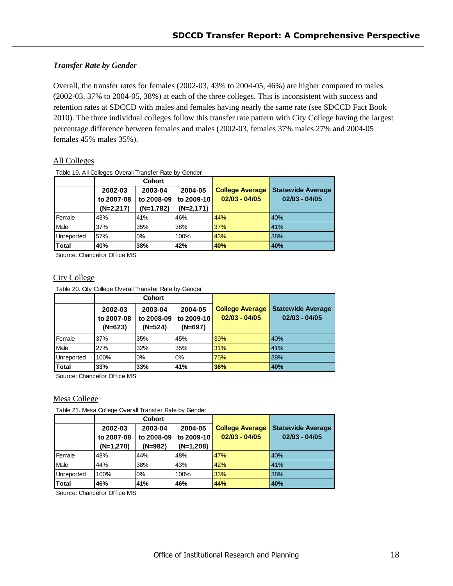#### <span id="page-17-0"></span>*Transfer Rate by Gender*

Overall, the transfer rates for females (2002-03, 43% to 2004-05, 46%) are higher compared to males (2002-03, 37% to 2004-05, 38%) at each of the three colleges. This is inconsistent with success and retention rates at SDCCD with males and females having nearly the same rate (see SDCCD Fact Book 2010). The three individual colleges follow this transfer rate pattern with City College having the largest percentage difference between females and males (2002-03, females 37% males 27% and 2004-05 females 45% males 35%).

#### All Colleges

Table 19. All Colleges Overall Transfer Rate by Gender

|              |             | <b>Cohort</b> |             |                        |                          |
|--------------|-------------|---------------|-------------|------------------------|--------------------------|
|              | 2002-03     | 2003-04       | 2004-05     | <b>College Average</b> | <b>Statewide Average</b> |
|              | to 2007-08  | to 2008-09    | to 2009-10  | $02/03 - 04/05$        | $02/03 - 04/05$          |
|              | $(N=2,217)$ | $(N=1,782)$   | $(N=2,171)$ |                        |                          |
| Female       | 43%         | 41%           | 46%         | 44%                    | 40%                      |
| Male         | 37%         | 35%           | 38%         | 37%                    | 41%                      |
| Unreported   | 57%         | 0%            | 100%        | 43%                    | 38%                      |
| <b>Total</b> | 40%         | 38%           | 42%         | 40%                    | 40%                      |

Source: Chancellor Office MIS

#### City College

Table 20. City College Overall Transfer Rate by Gender

|              | <b>Cohort</b>                      |                                    |                                    |                                           |                                             |  |
|--------------|------------------------------------|------------------------------------|------------------------------------|-------------------------------------------|---------------------------------------------|--|
|              | 2002-03<br>to 2007-08<br>$(N=623)$ | 2003-04<br>to 2008-09<br>$(N=524)$ | 2004-05<br>to 2009-10<br>$(N=697)$ | <b>College Average</b><br>$02/03 - 04/05$ | <b>Statewide Average</b><br>$02/03 - 04/05$ |  |
| Female       | 37%                                | 35%                                | 45%                                | 39%                                       | 40%                                         |  |
| Male         | 27%                                | 32%                                | 35%                                | 31%                                       | 41%                                         |  |
| Unreported   | 100%                               | 0%                                 | 0%                                 | 75%                                       | 38%                                         |  |
| <b>Total</b> | 33%                                | 33%                                | 41%                                | 36%                                       | 40%                                         |  |

Source: Chancellor Office MIS

#### Mesa College

Table 21. Mesa College Overall Transfer Rate by Gender

|            | <b>Cohort</b> |            |             |                        |                          |  |
|------------|---------------|------------|-------------|------------------------|--------------------------|--|
|            | 2002-03       | 2003-04    | 2004-05     | <b>College Average</b> | <b>Statewide Average</b> |  |
|            | to 2007-08    | to 2008-09 | to 2009-10  | $02/03 - 04/05$        | $02/03 - 04/05$          |  |
|            | $(N=1,270)$   | $(N=982)$  | $(N=1,208)$ |                        |                          |  |
| Female     | 48%           | 44%        | 48%         | 47%                    | 40%                      |  |
| Male       | 44%           | 38%        | 43%         | 42%                    | 41%                      |  |
| Unreported | 100%          | 0%         | 100%        | 33%                    | 38%                      |  |
| Total      | 46%           | 41%        | 46%         | 44%                    | 40%                      |  |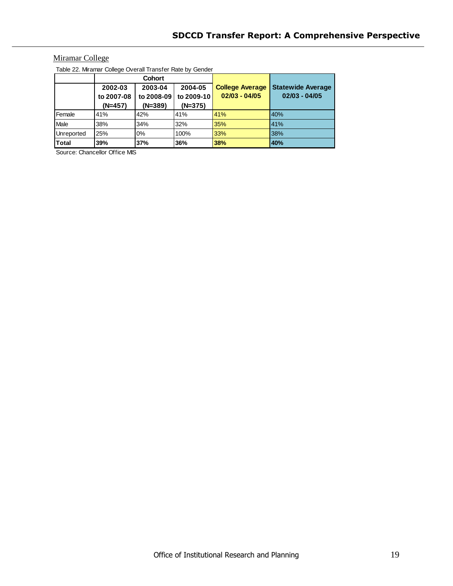# **Miramar College**

Table 22. Miramar College Overall Transfer Rate by Gender

|              | Cohort                   |           |            |                        |                          |  |
|--------------|--------------------------|-----------|------------|------------------------|--------------------------|--|
|              | 2002-03                  | 2003-04   | 2004-05    | <b>College Average</b> | <b>Statewide Average</b> |  |
|              | to 2007-08<br>to 2008-09 |           | to 2009-10 | $02/03 - 04/05$        | $02/03 - 04/05$          |  |
|              | $(N=457)$                | $(N=389)$ | $(N=375)$  |                        |                          |  |
| Female       | 41%                      | 42%       | 41%        | 41%                    | 40%                      |  |
| Male         | 38%                      | 34%       | 32%        | 35%                    | 41%                      |  |
| Unreported   | 25%                      | 0%        | 100%       | 33%                    | 38%                      |  |
| <b>Total</b> | 39%                      | 37%       | 36%        | 38%                    | 40%                      |  |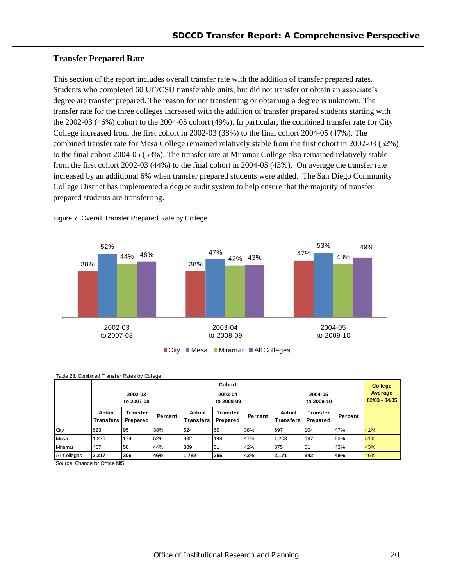### <span id="page-19-0"></span>**Transfer Prepared Rate**

This section of the report includes overall transfer rate with the addition of transfer prepared rates. Students who completed 60 UC/CSU transferable units, but did not transfer or obtain an associate's degree are transfer prepared. The reason for not transferring or obtaining a degree is unknown. The transfer rate for the three colleges increased with the addition of transfer prepared students starting with the 2002-03 (46%) cohort to the 2004-05 cohort (49%). In particular, the combined transfer rate for City College increased from the first cohort in 2002-03 (38%) to the final cohort 2004-05 (47%). The combined transfer rate for Mesa College remained relatively stable from the first cohort in 2002-03 (52%) to the final cohort 2004-05 (53%). The transfer rate at Miramar College also remained relatively stable from the first cohort 2002-03 (44%) to the final cohort in 2004-05 (43%). On average the transfer rate increased by an additional 6% when transfer prepared students were added. The San Diego Community College District has implemented a degree audit system to help ensure that the majority of transfer prepared students are transferring.



Figure 7. Overall Transfer Prepared Rate by College

| Cohort       |                            |                      |                       |                            |                      |                       |                            | <b>College</b>       |                            |     |
|--------------|----------------------------|----------------------|-----------------------|----------------------------|----------------------|-----------------------|----------------------------|----------------------|----------------------------|-----|
|              | 2002-03<br>to 2007-08      |                      | 2003-04<br>to 2008-09 |                            |                      | 2004-05<br>to 2009-10 |                            |                      | Average<br>$02/03 - 04/05$ |     |
|              | Actual<br><b>Transfers</b> | Transfer<br>Prepared | Percent               | Actual<br><b>Transfers</b> | Transfer<br>Prepared | Percent               | Actual<br><b>Transfers</b> | Transfer<br>Prepared | Percent                    |     |
| City         | 623                        | 95                   | 38%                   | 524                        | 69                   | 38%                   | 697                        | 104                  | 47%                        | 41% |
| Mesa         | .270                       | 174                  | 52%                   | 982                        | 148                  | 47%                   | 1.208                      | 187                  | 53%                        | 51% |
| Miramar      | 457                        | 58                   | 44%                   | 389                        | 151                  | 42%                   | 375                        | 81                   | 43%                        | 43% |
| All Colleges | 2,217                      | 306                  | 46%                   | 1,782                      | 255                  | 43%                   | 2,171                      | 342                  | 49%                        | 46% |

Table 23. Combined Transfer Rates by College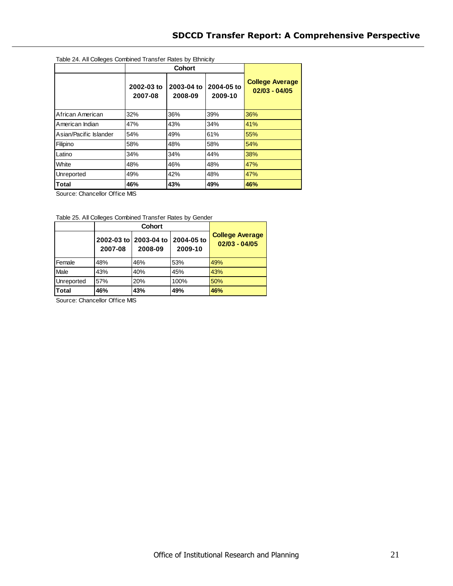| Table 24. All Colleges Combined Transfer Rates by Ethnicity |                       |                       |                       |                                           |  |  |  |
|-------------------------------------------------------------|-----------------------|-----------------------|-----------------------|-------------------------------------------|--|--|--|
|                                                             |                       |                       |                       |                                           |  |  |  |
|                                                             | 2002-03 to<br>2007-08 | 2003-04 to<br>2008-09 | 2004-05 to<br>2009-10 | <b>College Average</b><br>$02/03 - 04/05$ |  |  |  |
| African American                                            | 32%                   | 36%                   | 39%                   | 36%                                       |  |  |  |
| American Indian                                             | 47%                   | 43%                   | 34%                   | 41%                                       |  |  |  |
| Asian/Pacific Islander                                      | 54%                   | 49%                   | 61%                   | 55%                                       |  |  |  |
| Filipino                                                    | 58%                   | 48%                   | 58%                   | 54%                                       |  |  |  |
| Latino                                                      | 34%                   | 34%                   | 44%                   | 38%                                       |  |  |  |
| White                                                       | 48%                   | 46%                   | 48%                   | 47%                                       |  |  |  |
| Unreported                                                  | 49%                   | 42%                   | 48%                   | 47%                                       |  |  |  |
| <b>Total</b>                                                | 46%                   | 43%                   | 49%                   | 46%                                       |  |  |  |

Source: Chancellor Office MIS

|            | 2007-08 | 2002-03 to 2003-04 to<br>2008-09 | 2004-05 to<br>2009-10 | <b>College Average</b><br>$02/03 - 04/05$ |
|------------|---------|----------------------------------|-----------------------|-------------------------------------------|
| Female     | 48%     | 46%                              | 53%                   | 49%                                       |
| Male       | 43%     | 40%                              | 45%                   | 43%                                       |
| Unreported | 57%     | 20%                              | 100%                  | 50%                                       |
| Total      | 46%     | 43%                              | 49%                   | 46%                                       |